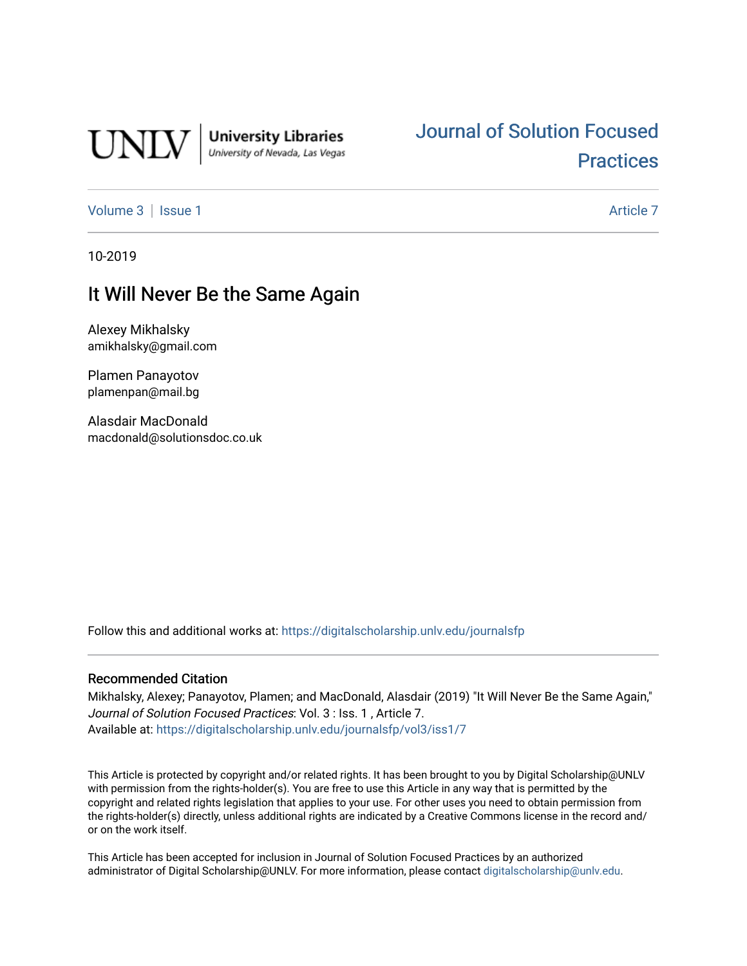

**University Libraries**<br>University of Nevada, Las Vegas

# [Journal of Solution Focused](https://digitalscholarship.unlv.edu/journalsfp)  **Practices**

[Volume 3](https://digitalscholarship.unlv.edu/journalsfp/vol3) | [Issue 1](https://digitalscholarship.unlv.edu/journalsfp/vol3/iss1) Article 7

10-2019

## It Will Never Be the Same Again

Alexey Mikhalsky amikhalsky@gmail.com

Plamen Panayotov plamenpan@mail.bg

Alasdair MacDonald macdonald@solutionsdoc.co.uk

Follow this and additional works at: [https://digitalscholarship.unlv.edu/journalsfp](https://digitalscholarship.unlv.edu/journalsfp?utm_source=digitalscholarship.unlv.edu%2Fjournalsfp%2Fvol3%2Fiss1%2F7&utm_medium=PDF&utm_campaign=PDFCoverPages)

#### Recommended Citation

Mikhalsky, Alexey; Panayotov, Plamen; and MacDonald, Alasdair (2019) "It Will Never Be the Same Again," Journal of Solution Focused Practices: Vol. 3 : Iss. 1 , Article 7. Available at: [https://digitalscholarship.unlv.edu/journalsfp/vol3/iss1/7](https://digitalscholarship.unlv.edu/journalsfp/vol3/iss1/7?utm_source=digitalscholarship.unlv.edu%2Fjournalsfp%2Fvol3%2Fiss1%2F7&utm_medium=PDF&utm_campaign=PDFCoverPages)

This Article is protected by copyright and/or related rights. It has been brought to you by Digital Scholarship@UNLV with permission from the rights-holder(s). You are free to use this Article in any way that is permitted by the copyright and related rights legislation that applies to your use. For other uses you need to obtain permission from the rights-holder(s) directly, unless additional rights are indicated by a Creative Commons license in the record and/ or on the work itself.

This Article has been accepted for inclusion in Journal of Solution Focused Practices by an authorized administrator of Digital Scholarship@UNLV. For more information, please contact [digitalscholarship@unlv.edu.](mailto:digitalscholarship@unlv.edu)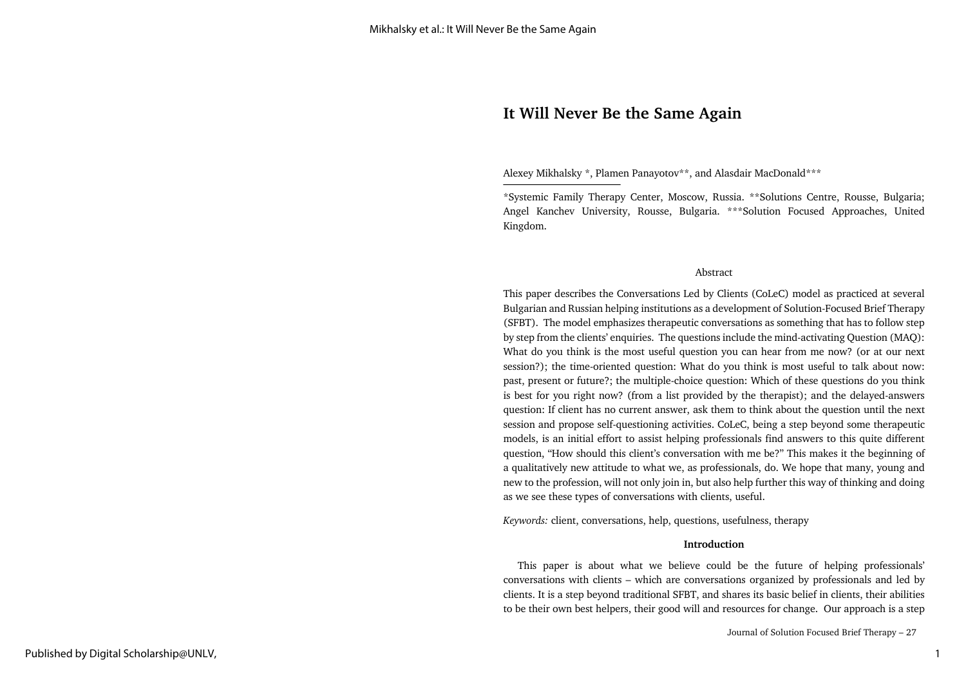### **It Will Never Be the Same Again**

Alexey Mikhalsky \*, Plamen Panayotov\*\*, and Alasdair MacDonald\*\*\*

\*Systemic Family Therapy Center, Moscow, Russia. \*\*Solutions Centre, Rousse, Bulgaria; Angel Kanchev University, Rousse, Bulgaria. \*\*\*Solution Focused Approaches, United Kingdom.

#### Abstract

This paper describes the Conversations Led by Clients (CoLeC) model as practiced at several Bulgarian and Russian helping institutions as a development of Solution-Focused Brief Therapy (SFBT). The model emphasizes therapeutic conversations as something that has to follow step by step from the clients' enquiries. The questions include the mind-activating Question (MAQ): What do you think is the most useful question you can hear from me now? (or at our next session?); the time-oriented question: What do you think is most useful to talk about now: past, present or future?; the multiple-choice question: Which of these questions do you think is best for you right now? (from a list provided by the therapist); and the delayed-answers question: If client has no current answer, ask them to think about the question until the next session and propose self-questioning activities. CoLeC, being a step beyond some therapeutic models, is an initial effort to assist helping professionals find answers to this quite different question, "How should this client's conversation with me be?" This makes it the beginning of a qualitatively new attitude to what we, as professionals, do. We hope that many, young and new to the profession, will not only join in, but also help further this way of thinking and doing as we see these types of conversations with clients, useful.

*Keywords:* client, conversations, help, questions, usefulness, therapy

#### **Introduction**

 This paper is about what we believe could be the future of helping professionals' conversations with clients – which are conversations organized by professionals and led by clients. It is a step beyond traditional SFBT, and shares its basic belief in clients, their abilities to be their own best helpers, their good will and resources for change. Our approach is a step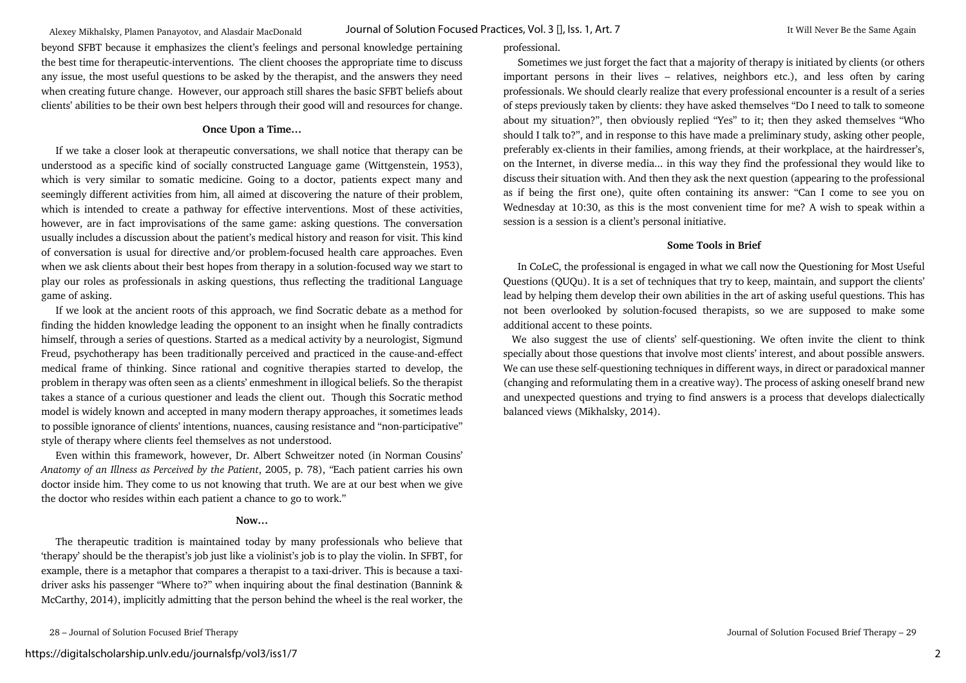game of asking.

style of therapy where clients feel themselves as not understood. Even within this framework, however, Dr. Albert Schweitzer noted (in Norman Cousins'

*Anatomy of an Illness as Perceived by the Patient*, 2005, p. 78), *"*Each patient carries his own doctor inside him. They come to us not knowing that truth. We are at our best when we give the doctor who resides within each patient a chance to go to work."

beyond SFBT because it emphasizes the client's feelings and personal knowledge pertaining the best time for therapeutic-interventions. The client chooses the appropriate time to discuss any issue, the most useful questions to be asked by the therapist, and the answers they need when creating future change. However, our approach still shares the basic SFBT beliefs about clients' abilities to be their own best helpers through their good will and resources for change.

**Once Upon a Time…** If we take a closer look at therapeutic conversations, we shall notice that therapy can be understood as a specific kind of socially constructed Language game (Wittgenstein, 1953), which is very similar to somatic medicine. Going to a doctor, patients expect many and seemingly different activities from him, all aimed at discovering the nature of their problem, which is intended to create a pathway for effective interventions. Most of these activities, however, are in fact improvisations of the same game: asking questions. The conversation usually includes a discussion about the patient's medical history and reason for visit. This kind of conversation is usual for directive and/or problem-focused health care approaches. Even when we ask clients about their best hopes from therapy in a solution-focused way we start to play our roles as professionals in asking questions, thus reflecting the traditional Language

 If we look at the ancient roots of this approach, we find Socratic debate as a method for finding the hidden knowledge leading the opponent to an insight when he finally contradicts himself, through a series of questions. Started as a medical activity by a neurologist, Sigmund Freud, psychotherapy has been traditionally perceived and practiced in the cause-and-effect medical frame of thinking. Since rational and cognitive therapies started to develop, the problem in therapy was often seen as a clients' enmeshment in illogical beliefs. So the therapist takes a stance of a curious questioner and leads the client out. Though this Socratic method model is widely known and accepted in many modern therapy approaches, it sometimes leads

#### **Now…**

 The therapeutic tradition is maintained today by many professionals who believe that 'therapy' should be the therapist's job just like a violinist's job is to play the violin. In SFBT, for example, there is a metaphor that compares a therapist to a taxi-driver. This is because a taxidriver asks his passenger "Where to?" when inquiring about the final destination (Bannink & McCarthy, 2014), implicitly admitting that the person behind the wheel is the real worker, the

28 – Journal of Solution Focused Brief Therapy Journal of Solution Focused Brief Therapy – 29

#### professional.

 Sometimes we just forget the fact that a majority of therapy is initiated by clients (or others important persons in their lives – relatives, neighbors etc.), and less often by caring professionals. We should clearly realize that every professional encounter is a result of a series of steps previously taken by clients: they have asked themselves "Do I need to talk to someone about my situation?", then obviously replied "Yes" to it; then they asked themselves "Who should I talk to?", and in response to this have made a preliminary study, asking other people, preferably ex-clients in their families, among friends, at their workplace, at the hairdresser's, on the Internet, in diverse media... in this way they find the professional they would like to discuss their situation with. And then they ask the next question (appearing to the professional as if being the first one), quite often containing its answer: "Can I come to see you on Wednesday at 10:30, as this is the most convenient time for me? A wish to speak within a session is a session is a client's personal initiative.

#### **Some Tools in Brief**

 In CoLeC, the professional is engaged in what we call now the Questioning for Most Useful Questions (QUQu). It is a set of techniques that try to keep, maintain, and support the clients' lead by helping them develop their own abilities in the art of asking useful questions. This has not been overlooked by solution-focused therapists, so we are supposed to make some additional accent to these points.

 We also suggest the use of clients' self-questioning. We often invite the client to think specially about those questions that involve most clients' interest, and about possible answers. We can use these self-questioning techniques in different ways, in direct or paradoxical manner (changing and reformulating them in a creative way). The process of asking oneself brand new and unexpected questions and trying to find answers is a process that develops dialectically balanced views (Mikhalsky, 2014).

2

to possible ignorance of clients' intentions, nuances, causing resistance and "non-participative"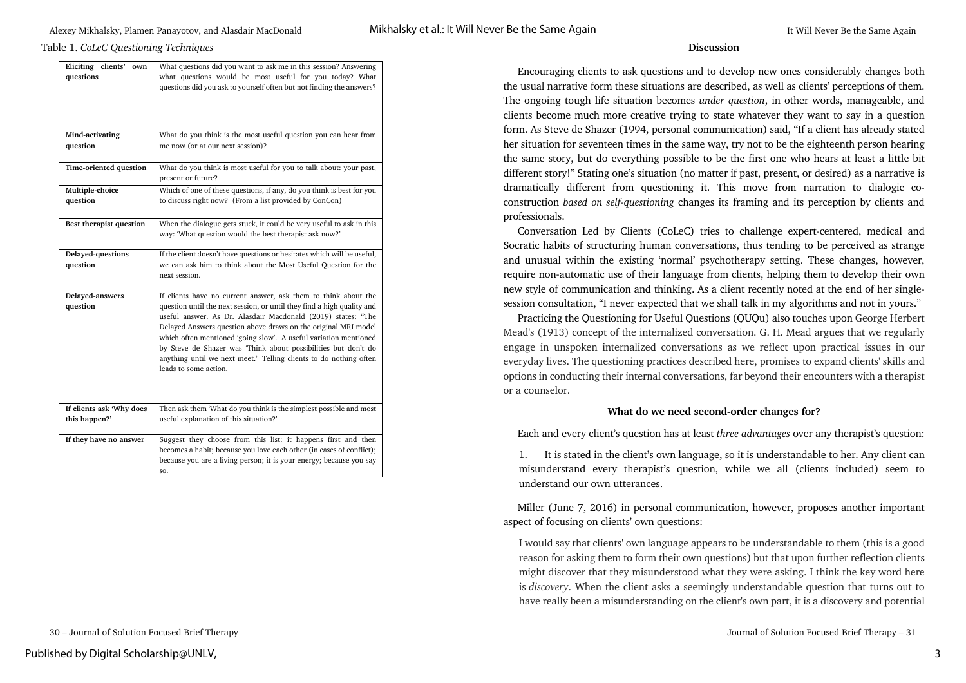#### Table 1. *CoLeC Questioning Techniques* **Discussion**

| Eliciting clients'<br>own<br>questions    | What questions did you want to ask me in this session? Answering<br>what questions would be most useful for you today? What<br>questions did you ask to yourself often but not finding the answers?                                                                                                                                                                                                                                                                                                            |
|-------------------------------------------|----------------------------------------------------------------------------------------------------------------------------------------------------------------------------------------------------------------------------------------------------------------------------------------------------------------------------------------------------------------------------------------------------------------------------------------------------------------------------------------------------------------|
| Mind-activating                           | What do you think is the most useful question you can hear from                                                                                                                                                                                                                                                                                                                                                                                                                                                |
| question                                  | me now (or at our next session)?                                                                                                                                                                                                                                                                                                                                                                                                                                                                               |
| Time-oriented question                    | What do you think is most useful for you to talk about: your past,<br>present or future?                                                                                                                                                                                                                                                                                                                                                                                                                       |
| Multiple-choice<br>question               | Which of one of these questions, if any, do you think is best for you<br>to discuss right now? (From a list provided by ConCon)                                                                                                                                                                                                                                                                                                                                                                                |
| Best therapist question                   | When the dialogue gets stuck, it could be very useful to ask in this<br>way: 'What question would the best therapist ask now?'                                                                                                                                                                                                                                                                                                                                                                                 |
| Delayed-questions<br>question             | If the client doesn't have questions or hesitates which will be useful,<br>we can ask him to think about the Most Useful Question for the<br>next session.                                                                                                                                                                                                                                                                                                                                                     |
| Delayed-answers<br>question               | If clients have no current answer, ask them to think about the<br>question until the next session, or until they find a high quality and<br>useful answer. As Dr. Alasdair Macdonald (2019) states: "The<br>Delayed Answers question above draws on the original MRI model<br>which often mentioned 'going slow'. A useful variation mentioned<br>by Steve de Shazer was 'Think about possibilities but don't do<br>anything until we next meet.' Telling clients to do nothing often<br>leads to some action. |
| If clients ask 'Why does<br>this happen?' | Then ask them 'What do you think is the simplest possible and most<br>useful explanation of this situation?'                                                                                                                                                                                                                                                                                                                                                                                                   |
| If they have no answer                    | Suggest they choose from this list: it happens first and then<br>becomes a habit; because you love each other (in cases of conflict);<br>because you are a living person; it is your energy; because you say<br>SO.                                                                                                                                                                                                                                                                                            |

 Encouraging clients to ask questions and to develop new ones considerably changes both the usual narrative form these situations are described, as well as clients' perceptions of them. The ongoing tough life situation becomes *under question*, in other words, manageable, and clients become much more creative trying to state whatever they want to say in a question form. As Steve de Shazer (1994, personal communication) said, "If a client has already stated her situation for seventeen times in the same way, try not to be the eighteenth person hearing the same story, but do everything possible to be the first one who hears at least a little bit different story!" Stating one's situation (no matter if past, present, or desired) as a narrative is dramatically different from questioning it. This move from narration to dialogic coconstruction *based on self*-*questioning* changes its framing and its perception by clients and professionals.

 Conversation Led by Clients (CoLeC) tries to challenge expert-centered, medical and Socratic habits of structuring human conversations, thus tending to be perceived as strange and unusual within the existing 'normal' psychotherapy setting. These changes, however, require non-automatic use of their language from clients, helping them to develop their own new style of communication and thinking. As a client recently noted at the end of her singlesession consultation, "I never expected that we shall talk in my algorithms and not in yours."

 Practicing the Questioning for Useful Questions (QUQu) also touches upon George Herbert Mead's (1913) concept of the internalized conversation. G. H. Mead argues that we regularly engage in unspoken internalized conversations as we reflect upon practical issues in our everyday lives. The questioning practices described here, promises to expand clients' skills and options in conducting their internal conversations, far beyond their encounters with a therapist or a counselor.

#### **What do we need second-order changes for?**

Each and every client's question has at least *three advantages* over any therapist's question:

1. It is stated in the client's own language, so it is understandable to her. Any client can misunderstand every therapist's question, while we all (clients included) seem to understand our own utterances.

 Miller (June 7, 2016) in personal communication, however, proposes another important aspect of focusing on clients' own questions:

I would say that clients' own language appears to be understandable to them (this is a good reason for asking them to form their own questions) but that upon further reflection clients might discover that they misunderstood what they were asking. I think the key word here is *discovery*. When the client asks a seemingly understandable question that turns out to have really been a misunderstanding on the client's own part, it is a discovery and potential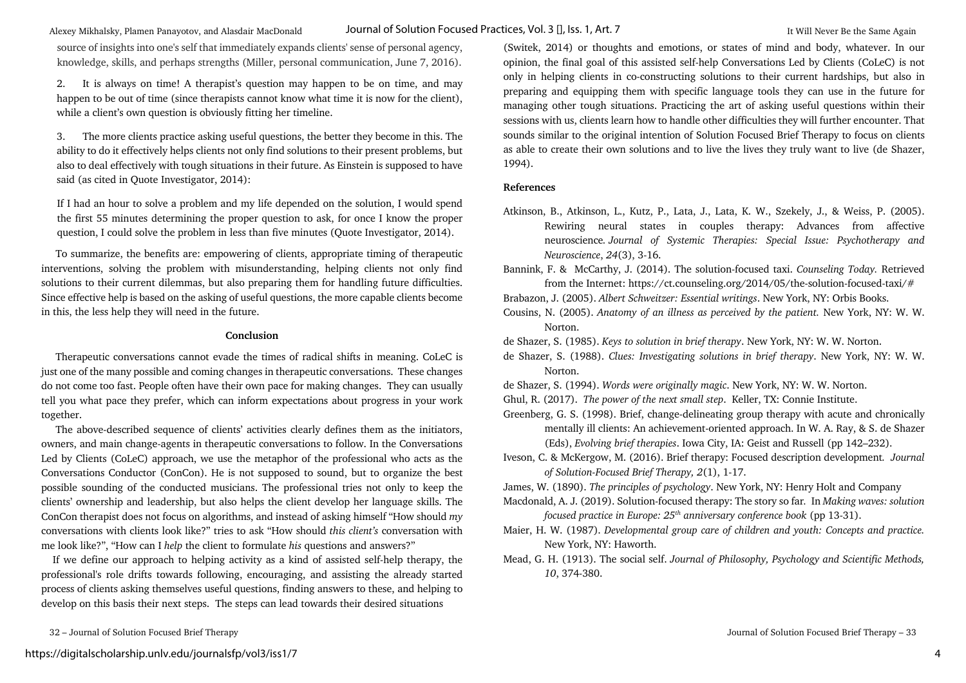Alexey Mikhalsky, Plamen Panayotov, and Alasdair MacDonald **It MacUonal Of Solution Focused Practices, Vol. 3** [], **Iss. 1, Art. 7** It Will Never Be the Same Again Journal of Solution Focused Practices, Vol. 3 [], Iss. 1, Art. 7

source of insights into one's self that immediately expands clients' sense of personal agency, knowledge, skills, and perhaps strengths (Miller, personal communication, June 7, 2016).

2. It is always on time! A therapist's question may happen to be on time, and may happen to be out of time (since therapists cannot know what time it is now for the client), while a client's own question is obviously fitting her timeline.

3. The more clients practice asking useful questions, the better they become in this. The ability to do it effectively helps clients not only find solutions to their present problems, but also to deal effectively with tough situations in their future. As Einstein is supposed to have said (as cited in Quote Investigator, 2014):

If I had an hour to solve a problem and my life depended on the solution, I would spend the first 55 minutes determining the proper question to ask, for once I know the proper question, I could solve the problem in less than five minutes (Quote Investigator, 2014).

 To summarize, the benefits are: empowering of clients, appropriate timing of therapeutic interventions, solving the problem with misunderstanding, helping clients not only find solutions to their current dilemmas, but also preparing them for handling future difficulties. Since effective help is based on the asking of useful questions, the more capable clients become in this, the less help they will need in the future.

#### **Conclusion**

 Therapeutic conversations cannot evade the times of radical shifts in meaning. CoLeC is just one of the many possible and coming changes in therapeutic conversations. These changes do not come too fast. People often have their own pace for making changes. They can usually tell you what pace they prefer, which can inform expectations about progress in your work together.

 The above-described sequence of clients' activities clearly defines them as the initiators, owners, and main change-agents in therapeutic conversations to follow. In the Conversations Led by Clients (CoLeC) approach, we use the metaphor of the professional who acts as the Conversations Conductor (ConCon). He is not supposed to sound, but to organize the best possible sounding of the conducted musicians. The professional tries not only to keep the clients' ownership and leadership, but also helps the client develop her language skills. The ConCon therapist does not focus on algorithms, and instead of asking himself "How should *my* conversations with clients look like?" tries to ask "How should *this client's* conversation with me look like?", "How can I *help* the client to formulate *his* questions and answers?"

 If we define our approach to helping activity as a kind of assisted self-help therapy, the professional's role drifts towards following, encouraging, and assisting the already started process of clients asking themselves useful questions, finding answers to these, and helping to develop on this basis their next steps. The steps can lead towards their desired situations

(Switek, 2014) or thoughts and emotions, or states of mind and body, whatever. In our opinion, the final goal of this assisted self-help Conversations Led by Clients (CoLeC) is not only in helping clients in co-constructing solutions to their current hardships, but also in preparing and equipping them with specific language tools they can use in the future for managing other tough situations. Practicing the art of asking useful questions within their sessions with us, clients learn how to handle other difficulties they will further encounter. That sounds similar to the original intention of Solution Focused Brief Therapy to focus on clients as able to create their own solutions and to live the lives they truly want to live (de Shazer, 1994).

#### **References**

Atkinson, B., Atkinson, L., Kutz, P., Lata, J., Lata, K. W., Szekely, J., & Weiss, P. (2005). Rewiring neural states in couples therapy: Advances from affective neuroscience*. Journal of Systemic Therapies: Special Issue: Psychotherapy and Neuroscience*, *24*(3), 3-16.

Bannink, F. & McCarthy, J. (2014). The solution-focused taxi. *Counseling Today.* Retrieved from the Internet: https://ct.counseling.org/2014/05/the-solution-focused-taxi/#

- Brabazon, J. (2005). *Albert Schweitzer: Essential writings*. New York, NY: Orbis Books.
- Cousins, N. (2005). *Anatomy of an illness as perceived by the patient.* New York, NY: W. W. Norton.
- de Shazer, S. (1985). *Keys to solution in brief therapy*. New York, NY: W. W. Norton.
- de Shazer, S. (1988). *Clues: Investigating solutions in brief therapy*. New York, NY: W. W. Norton.
- de Shazer, S. (1994). *Words were originally magic*. New York, NY: W. W. Norton.
- Ghul, R. (2017). *The power of the next small step*. Keller, TX: Connie Institute.
- Greenberg, G. S. (1998). Brief, change-delineating group therapy with acute and chronically mentally ill clients: An achievement-oriented approach. In W. A. Ray, & S. de Shazer (Eds), *Evolving brief therapies*. Iowa City, IA: Geist and Russell (pp 142–232).
- Iveson, C. & McKergow, M. (2016). Brief therapy: Focused description development*. Journal of Solution-Focused Brief Therapy, 2*(1), 1-17.

James, W. (1890). *The principles of psychology*. New York, NY: Henry Holt and Company

- Macdonald, A. J. (2019). Solution-focused therapy: The story so far*.* In *Making waves: solution focused practice in Europe: 25th anniversary conference book* (pp 13-31).
- Maier, H. W. (1987). *Developmental group care of children and youth: Concepts and practice.* New York, NY: Haworth.
- Mead, G. H. (1913). The social self. *Journal of Philosophy, Psychology and Scientific Methods, 10*, 374-380.